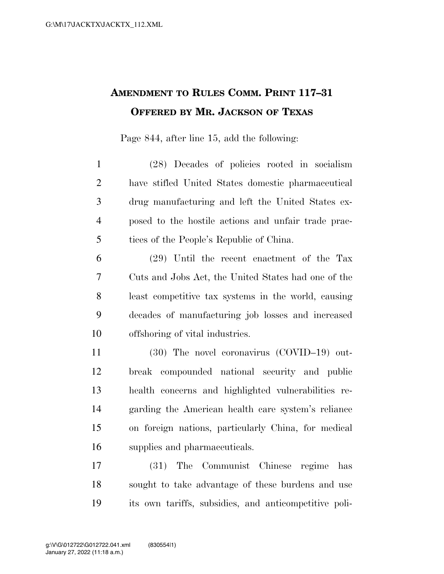## **AMENDMENT TO RULES COMM. PRINT 117–31 OFFERED BY MR. JACKSON OF TEXAS**

Page 844, after line 15, add the following:

 (28) Decades of policies rooted in socialism have stifled United States domestic pharmaceutical drug manufacturing and left the United States ex- posed to the hostile actions and unfair trade prac-tices of the People's Republic of China.

 (29) Until the recent enactment of the Tax Cuts and Jobs Act, the United States had one of the least competitive tax systems in the world, causing decades of manufacturing job losses and increased offshoring of vital industries.

 (30) The novel coronavirus (COVID–19) out- break compounded national security and public health concerns and highlighted vulnerabilities re- garding the American health care system's reliance on foreign nations, particularly China, for medical supplies and pharmaceuticals.

 (31) The Communist Chinese regime has sought to take advantage of these burdens and use its own tariffs, subsidies, and anticompetitive poli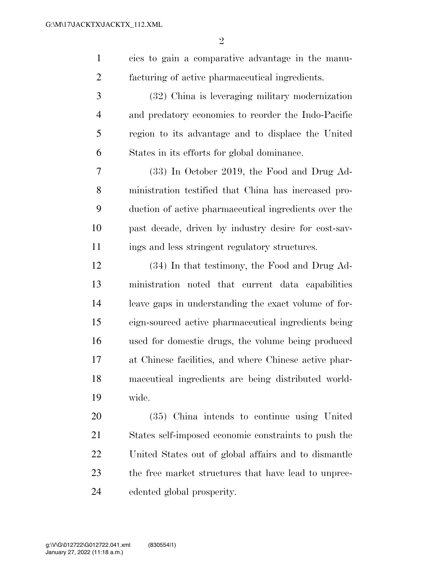cies to gain a comparative advantage in the manu-facturing of active pharmaceutical ingredients.

 (32) China is leveraging military modernization and predatory economics to reorder the Indo-Pacific region to its advantage and to displace the United States in its efforts for global dominance.

 (33) In October 2019, the Food and Drug Ad- ministration testified that China has increased pro- duction of active pharmaceutical ingredients over the past decade, driven by industry desire for cost-sav-ings and less stringent regulatory structures.

 (34) In that testimony, the Food and Drug Ad- ministration noted that current data capabilities leave gaps in understanding the exact volume of for- eign-sourced active pharmaceutical ingredients being used for domestic drugs, the volume being produced at Chinese facilities, and where Chinese active phar- maceutical ingredients are being distributed world-wide.

 (35) China intends to continue using United States self-imposed economic constraints to push the United States out of global affairs and to dismantle the free market structures that have lead to unprec-edented global prosperity.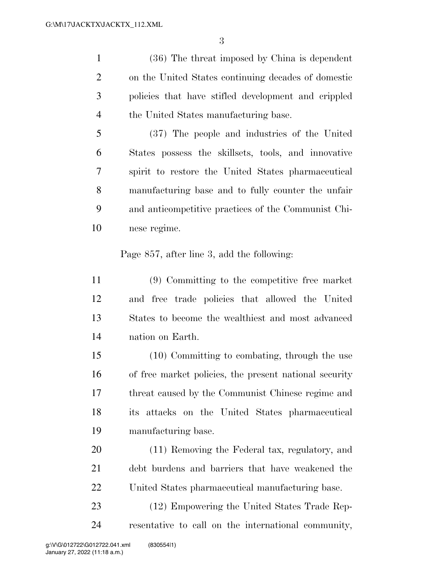(36) The threat imposed by China is dependent on the United States continuing decades of domestic policies that have stifled development and crippled the United States manufacturing base.

 (37) The people and industries of the United States possess the skillsets, tools, and innovative spirit to restore the United States pharmaceutical manufacturing base and to fully counter the unfair and anticompetitive practices of the Communist Chi-nese regime.

Page 857, after line 3, add the following:

 (9) Committing to the competitive free market and free trade policies that allowed the United States to become the wealthiest and most advanced nation on Earth.

 (10) Committing to combating, through the use of free market policies, the present national security threat caused by the Communist Chinese regime and its attacks on the United States pharmaceutical manufacturing base.

 (11) Removing the Federal tax, regulatory, and debt burdens and barriers that have weakened the United States pharmaceutical manufacturing base.

 (12) Empowering the United States Trade Rep-resentative to call on the international community,